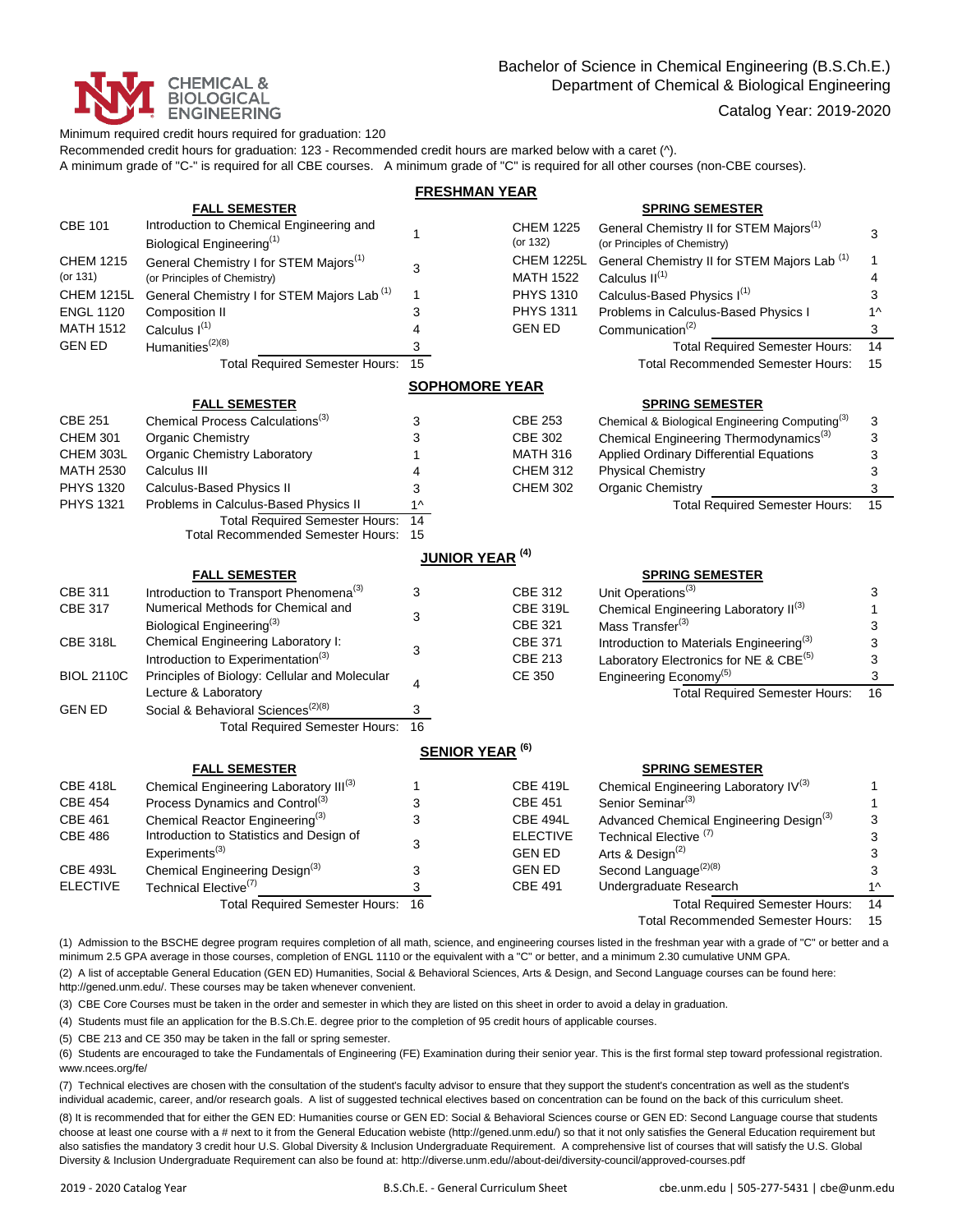

## Bachelor of Science in Chemical Engineering (B.S.Ch.E.) Department of Chemical & Biological Engineering

Catalog Year: 2019-2020

Minimum required credit hours required for graduation: 120

Recommended credit hours for graduation: 123 - Recommended credit hours are marked below with a caret (^).

A minimum grade of "C-" is required for all CBE courses. A minimum grade of "C" is required for all other courses (non-CBE courses).

| <b>FRESHMAN YEAR</b>             |                                                        |                                  |                   |                                                            |                |  |  |  |  |  |  |
|----------------------------------|--------------------------------------------------------|----------------------------------|-------------------|------------------------------------------------------------|----------------|--|--|--|--|--|--|
|                                  | <b>FALL SEMESTER</b>                                   |                                  |                   | <b>SPRING SEMESTER</b>                                     |                |  |  |  |  |  |  |
| <b>CBE 101</b>                   | Introduction to Chemical Engineering and               |                                  | <b>CHEM 1225</b>  | General Chemistry II for STEM Majors <sup>(1)</sup>        |                |  |  |  |  |  |  |
|                                  | Biological Engineering <sup>(1)</sup>                  | 1                                | (or 132)          | (or Principles of Chemistry)                               | 3              |  |  |  |  |  |  |
| <b>CHEM 1215</b>                 | General Chemistry I for STEM Majors <sup>(1)</sup>     | 3                                | <b>CHEM 1225L</b> | General Chemistry II for STEM Majors Lab <sup>(1)</sup>    | 1              |  |  |  |  |  |  |
| (or $131$ )                      | (or Principles of Chemistry)                           |                                  | <b>MATH 1522</b>  | Calculus II <sup>(1)</sup>                                 | $\overline{4}$ |  |  |  |  |  |  |
| <b>CHEM 1215L</b>                | General Chemistry I for STEM Majors Lab <sup>(1)</sup> | $\mathbf{1}$                     | PHYS 1310         | Calculus-Based Physics I(1)                                | 3              |  |  |  |  |  |  |
| <b>ENGL 1120</b>                 | Composition II                                         | 3                                | <b>PHYS 1311</b>  | Problems in Calculus-Based Physics I                       | 1 <sub>0</sub> |  |  |  |  |  |  |
| <b>MATH 1512</b>                 | Calculus I <sup>(1)</sup>                              | 4                                | <b>GEN ED</b>     | Communication <sup>(2)</sup>                               | 3              |  |  |  |  |  |  |
| <b>GEN ED</b>                    | Humanities <sup>(2)(8)</sup>                           | 3                                |                   | <b>Total Required Semester Hours:</b>                      | 14             |  |  |  |  |  |  |
|                                  | <b>Total Required Semester Hours:</b>                  | 15                               |                   | <b>Total Recommended Semester Hours:</b>                   | 15             |  |  |  |  |  |  |
|                                  | <b>SOPHOMORE YEAR</b>                                  |                                  |                   |                                                            |                |  |  |  |  |  |  |
|                                  | <b>FALL SEMESTER</b>                                   |                                  |                   | <b>SPRING SEMESTER</b>                                     |                |  |  |  |  |  |  |
| <b>CBE 251</b>                   | Chemical Process Calculations <sup>(3)</sup>           | 3                                | <b>CBE 253</b>    | Chemical & Biological Engineering Computing <sup>(3)</sup> | 3              |  |  |  |  |  |  |
| <b>CHEM 301</b>                  | <b>Organic Chemistry</b>                               | 3                                | <b>CBE 302</b>    | Chemical Engineering Thermodynamics <sup>(3)</sup>         | 3              |  |  |  |  |  |  |
| CHEM 303L                        | Organic Chemistry Laboratory                           | 1                                | <b>MATH 316</b>   | Applied Ordinary Differential Equations                    | 3              |  |  |  |  |  |  |
| <b>MATH 2530</b>                 | Calculus III                                           | 4                                | <b>CHEM 312</b>   | <b>Physical Chemistry</b>                                  | 3              |  |  |  |  |  |  |
| <b>PHYS 1320</b>                 | Calculus-Based Physics II                              | 3                                | <b>CHEM 302</b>   | <b>Organic Chemistry</b>                                   | 3              |  |  |  |  |  |  |
| <b>PHYS 1321</b>                 | Problems in Calculus-Based Physics II                  | $1^{\wedge}$                     |                   | <b>Total Required Semester Hours:</b>                      | 15             |  |  |  |  |  |  |
|                                  | <b>Total Required Semester Hours:</b>                  | $\overline{14}$                  |                   |                                                            |                |  |  |  |  |  |  |
|                                  | <b>Total Recommended Semester Hours:</b>               | 15                               |                   |                                                            |                |  |  |  |  |  |  |
| <b>JUNIOR YEAR<sup>(4)</sup></b> |                                                        |                                  |                   |                                                            |                |  |  |  |  |  |  |
|                                  | <b>FALL SEMESTER</b>                                   |                                  |                   | <b>SPRING SEMESTER</b>                                     |                |  |  |  |  |  |  |
| <b>CBE 311</b>                   | Introduction to Transport Phenomena <sup>(3)</sup>     | 3                                | CBE 312           | Unit Operations <sup>(3)</sup>                             | 3              |  |  |  |  |  |  |
| <b>CBE 317</b>                   | Numerical Methods for Chemical and                     | 3                                | <b>CBE 319L</b>   | Chemical Engineering Laboratory II(3)                      | 1              |  |  |  |  |  |  |
|                                  | Biological Engineering <sup>(3)</sup>                  |                                  | CBE 321           | Mass Transfer <sup>(3)</sup>                               | 3              |  |  |  |  |  |  |
| <b>CBE 318L</b>                  | Chemical Engineering Laboratory I:                     | 3                                | CBE 371           | Introduction to Materials Engineering <sup>(3)</sup>       | 3              |  |  |  |  |  |  |
|                                  | Introduction to Experimentation <sup>(3)</sup>         |                                  | CBE 213           | Laboratory Electronics for NE & CBE <sup>(5)</sup>         | 3              |  |  |  |  |  |  |
| <b>BIOL 2110C</b>                | Principles of Biology: Cellular and Molecular          | $\overline{\mathbf{4}}$          | <b>CE 350</b>     | Engineering Economy <sup>(5)</sup>                         | 3              |  |  |  |  |  |  |
|                                  | Lecture & Laboratory                                   |                                  |                   | <b>Total Required Semester Hours:</b>                      | 16             |  |  |  |  |  |  |
| <b>GEN ED</b>                    | Social & Behavioral Sciences <sup>(2)(8)</sup>         | 3                                |                   |                                                            |                |  |  |  |  |  |  |
|                                  | <b>Total Required Semester Hours:</b>                  | 16                               |                   |                                                            |                |  |  |  |  |  |  |
|                                  |                                                        | <b>SENIOR YEAR<sup>(6)</sup></b> |                   |                                                            |                |  |  |  |  |  |  |
|                                  | <b>FALL SEMESTER</b>                                   |                                  |                   | <b>SPRING SEMESTER</b>                                     |                |  |  |  |  |  |  |
| <b>CBE 418L</b>                  | Chemical Engineering Laboratory III(3)                 | 1                                | <b>CBE 419L</b>   | Chemical Engineering Laboratory IV(3)                      | 1              |  |  |  |  |  |  |
| <b>CBE 454</b>                   | Process Dynamics and Control <sup>(3)</sup>            | 3                                | <b>CBE 451</b>    | Senior Seminar <sup>(3)</sup>                              | 1              |  |  |  |  |  |  |
| <b>CBE 461</b>                   | Chemical Reactor Engineering <sup>(3)</sup>            | 3                                | <b>CBE 494L</b>   | Advanced Chemical Engineering Design <sup>(3)</sup>        | 3              |  |  |  |  |  |  |
| <b>CBE 486</b>                   | Introduction to Statistics and Design of               | 3                                | <b>ELECTIVE</b>   | Technical Elective <sup>(7)</sup>                          | 3              |  |  |  |  |  |  |
|                                  | Experiments <sup>(3)</sup>                             |                                  | <b>GEN ED</b>     | Arts & Design <sup>(2)</sup>                               | 3              |  |  |  |  |  |  |
| <b>CBE 493L</b>                  | Chemical Engineering Design(3)                         | 3                                | <b>GEN ED</b>     | Second Language <sup>(2)(8)</sup>                          | 3              |  |  |  |  |  |  |
| <b>ELECTIVE</b>                  | Technical Elective <sup>(7)</sup>                      | 3                                | <b>CBE 491</b>    | Undergraduate Research                                     | 1 <sub>0</sub> |  |  |  |  |  |  |
|                                  | <b>Total Required Semester Hours:</b>                  | 16                               |                   | <b>Total Required Semester Hours:</b>                      | 14             |  |  |  |  |  |  |
|                                  |                                                        |                                  |                   | <b>Total Recommended Semester Hours:</b>                   | 15             |  |  |  |  |  |  |

(1) Admission to the BSCHE degree program requires completion of all math, science, and engineering courses listed in the freshman year with a grade of "C" or better and a minimum 2.5 GPA average in those courses, completion of ENGL 1110 or the equivalent with a "C" or better, and a minimum 2.30 cumulative UNM GPA.

(2) A list of acceptable General Education (GEN ED) Humanities, Social & Behavioral Sciences, Arts & Design, and Second Language courses can be found here: http://gened.unm.edu/. These courses may be taken whenever convenient.

(3) CBE Core Courses must be taken in the order and semester in which they are listed on this sheet in order to avoid a delay in graduation.

(4) Students must file an application for the B.S.Ch.E. degree prior to the completion of 95 credit hours of applicable courses.

(5) CBE 213 and CE 350 may be taken in the fall or spring semester.

(6) Students are encouraged to take the Fundamentals of Engineering (FE) Examination during their senior year. This is the first formal step toward professional registration. www.ncees.org/fe/

(7) Technical electives are chosen with the consultation of the student's faculty advisor to ensure that they support the student's concentration as well as the student's individual academic, career, and/or research goals. A list of suggested technical electives based on concentration can be found on the back of this curriculum sheet.

(8) It is recommended that for either the GEN ED: Humanities course or GEN ED: Social & Behavioral Sciences course or GEN ED: Second Language course that students choose at least one course with a # next to it from the General Education webiste (http://gened.unm.edu/) so that it not only satisfies the General Education requirement but also satisfies the mandatory 3 credit hour U.S. Global Diversity & Inclusion Undergraduate Requirement. A comprehensive list of courses that will satisfy the U.S. Global Diversity & Inclusion Undergraduate Requirement can also be found at: http://diverse.unm.edu//about-dei/diversity-council/approved-courses.pdf